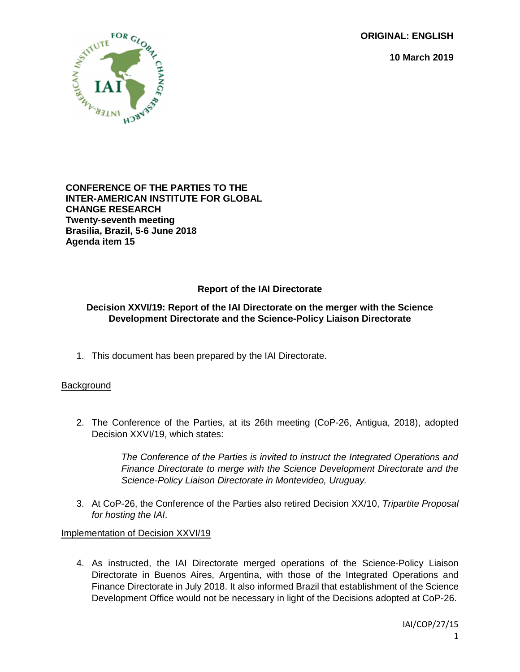**ORIGINAL: ENGLISH**

**10 March 2019**



### **CONFERENCE OF THE PARTIES TO THE INTER-AMERICAN INSTITUTE FOR GLOBAL CHANGE RESEARCH Twenty-seventh meeting Brasilia, Brazil, 5-6 June 2018 Agenda item 15**

# **Report of the IAI Directorate**

### **Decision XXVI/19: Report of the IAI Directorate on the merger with the Science Development Directorate and the Science-Policy Liaison Directorate**

1. This document has been prepared by the IAI Directorate.

## **Background**

2. The Conference of the Parties, at its 26th meeting (CoP-26, Antigua, 2018), adopted Decision XXVI/19, which states:

> *The Conference of the Parties is invited to instruct the Integrated Operations and Finance Directorate to merge with the Science Development Directorate and the Science-Policy Liaison Directorate in Montevideo, Uruguay.*

3. At CoP-26, the Conference of the Parties also retired Decision XX/10, *Tripartite Proposal for hosting the IAI*.

### Implementation of Decision XXVI/19

4. As instructed, the IAI Directorate merged operations of the Science-Policy Liaison Directorate in Buenos Aires, Argentina, with those of the Integrated Operations and Finance Directorate in July 2018. It also informed Brazil that establishment of the Science Development Office would not be necessary in light of the Decisions adopted at CoP-26.